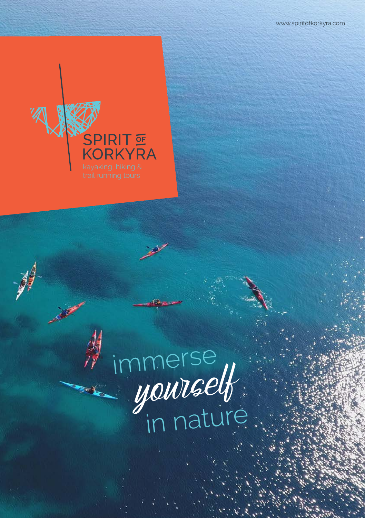

# immerse yourself **in nature**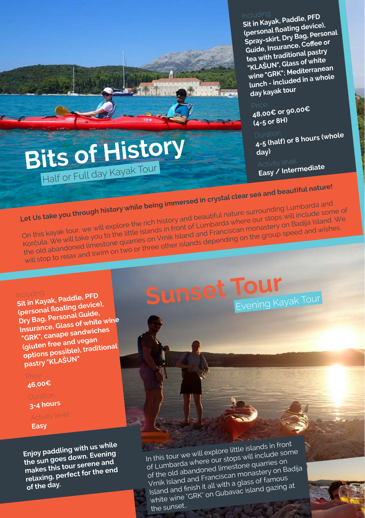Including: **Sit in Kayak, Paddle, PFD (personal floating device), Spray-skirt, Dry Bag, Persona<sup>l</sup> Guide, Insurance, Coffee or tea with traditional pastry "KLAŠUN", Glass of white wine "GRK"; Mediterranean lunch - included in a whole day kayak tour**

Price: **48,00€ or 90,00€ (4-5 or 8H)**

Duration: **4-5 (half) or 8 hours (whole day)**

Activity level: **Easy / Intermediate**

## Let Us take you through history while being immersed in crystal clear sea and beautiful nature! On this kayak tour, we will explore the rich history and beautiful nature surrounding Lumbarda an<sup>d</sup> Korčula. We will take you to the little islands in front of Lumbarda where our stops will include some of Korčula. We will take you to the little islands in front of Lumbarda where our stops will include some of the old abandoned limestone quarries on Vrnik Island and Franciscan monastery on Badija Island. We<br>the old abandoned limestone quarries on Vrnik Island and Franciscan monastery on Badija Island. We will stop to relax and swim on two or three other islands depending on the group speed and wishes.

Including: **Sit in Kayak, Paddle, PFD (personal floating device), Dry Bag, Personal Guide, Insurance, Glass of white wine "GRK", canape sandwiches (gluten free and vegan options possible), traditiona<sup>l</sup> pastry "KLAŠUN"**

**Bits of History**

Half or Full day Kayak Tour

**46,00€**

**3-4 hours** 

## **Easy**

**Enjoy paddling with us while the sun goes down. Evening makes this tour serene an<sup>d</sup> relaxing, perfect for the en<sup>d</sup> of the day.**

## **Sunset Tour** Evening Kayak Tour

In this tour we will explore little islands in fron<sup>t</sup> of Lumbarda where our stops will include some of the old abandoned limestone quarries on Vrnik Island and Franciscan monastery on Badija Island and finish it all with a glass of famous white wine "GRK" on Gubavac island gazing at the sunset...

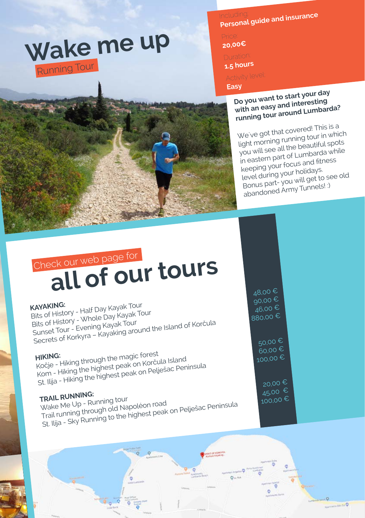# **Wake me up** Running Tour

Including: **Personal guide and insurance** 

**20,00€** 

**1.5 hours**

## **Easy**

**Do you want to start your day with an easy and interesting running tour around Lumbarda?**

We`ve got that covered! This is a light morning running tour in which you will see all the beautiful spots in eastern part of Lumbarda while keeping your focus and fitness level during your holidays. Bonus part- you will get to see old abandoned Army Tunnels! :)

## **all of our tours** Check our web page for

**KAYAKING:** Bits of History - Half Day Kayak Tour Bits of History - Whole Day Kayak Tour Bits of History <sup>- Win</sup>ng Kayak Tour<br>Sunset Tour - Evening Kayaking aro Sits of History<br>Sits of History - Whole Day Kayak Tour<br>Secrets of Korkyra – Kayaking around the Island of Korčula<br>Secrets of Korkyra – Kayaking around the Island of Korčula

**HIKING:** Kočje - Hiking through the magic forest Kom - Hiking the highest peak on Korčula Islan<sup>d</sup> St. Ilija - Hiking the highest peak on Pelješac Peninsula<br>St. Ilija - Hiking the highest peak on Pelješac Peninsula

**TRAIL RUNNING:**<br>Wake Me Up - Running tour<br>Trail running through old Napoléon road Wake Me Up - Running tour rRAIL RUNTINING.<br>Wake Me Up - Running tour<br>Trail running through old Napoléon road<br>St. Ilija - Sky Running to the highest peak on Pelješac Peninsula<br>St. Ilija - Sky Running to the highest peak on Pelješac Peninsula

48,00 € 90,00 €  $46,00 \in$ 880,00

 $60,00 \in$ <br>100,00 €

 $45,00 \in$ <br>100,00 €